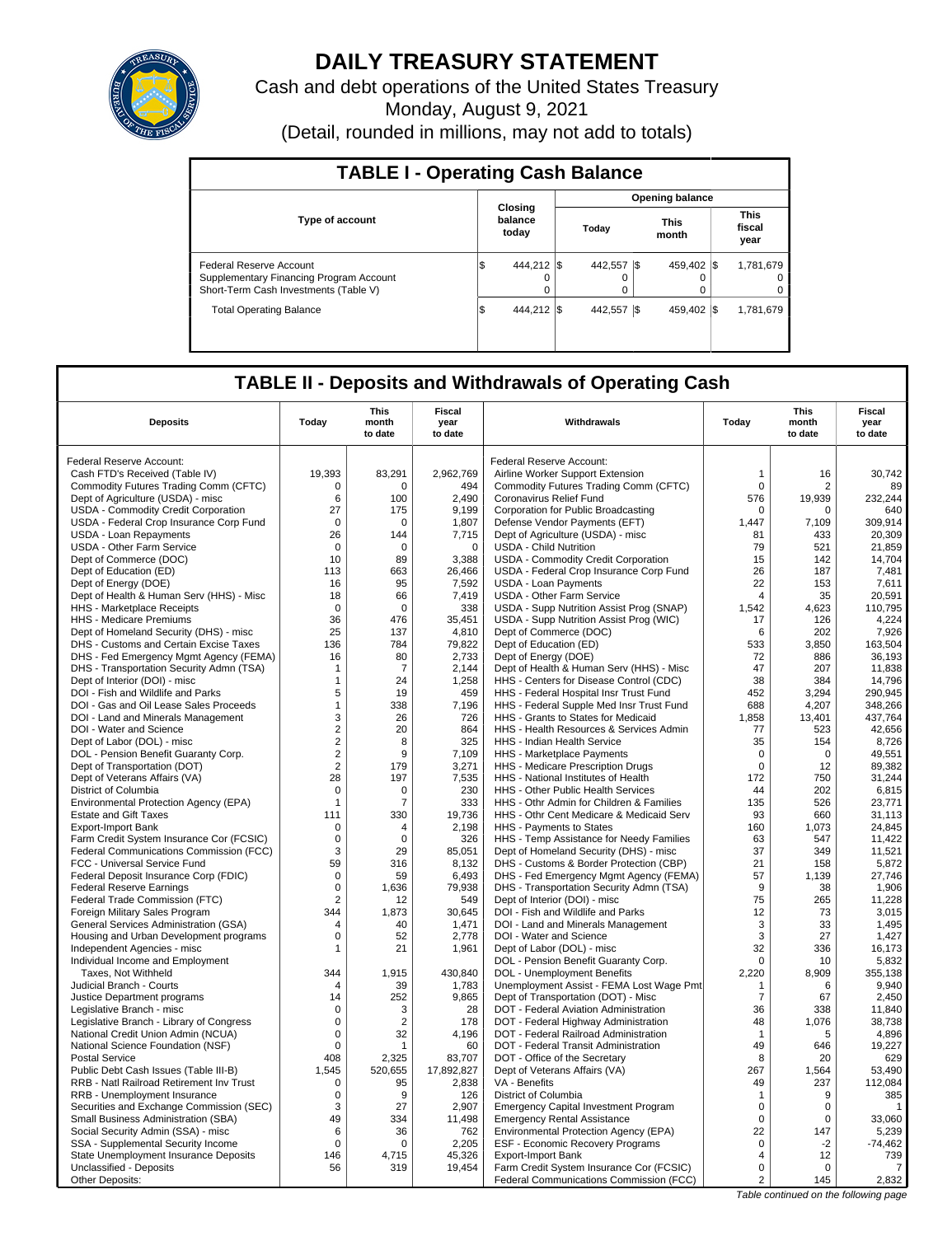

# **DAILY TREASURY STATEMENT**

Cash and debt operations of the United States Treasury

Monday, August 9, 2021

(Detail, rounded in millions, may not add to totals)

| <b>TABLE I - Operating Cash Balance</b>                                                                     |                        |                              |  |                               |      |             |                               |                     |  |  |
|-------------------------------------------------------------------------------------------------------------|------------------------|------------------------------|--|-------------------------------|------|-------------|-------------------------------|---------------------|--|--|
|                                                                                                             | <b>Opening balance</b> |                              |  |                               |      |             |                               |                     |  |  |
| <b>Type of account</b>                                                                                      |                        | Closing<br>balance<br>today  |  | <b>This</b><br>Today<br>month |      |             | <b>This</b><br>fiscal<br>year |                     |  |  |
| Federal Reserve Account<br>Supplementary Financing Program Account<br>Short-Term Cash Investments (Table V) | 1\$                    | 444.212 \\$<br>$\Omega$<br>0 |  | 442.557<br>0                  | - IS | 459.402 \\$ |                               | 1,781,679<br>0<br>0 |  |  |
| <b>Total Operating Balance</b>                                                                              | 1\$                    | 444.212 \\$                  |  | 442.557                       | - IS | 459.402 \\$ |                               | 1,781,679           |  |  |

## **TABLE II - Deposits and Withdrawals of Operating Cash**

| <b>Deposits</b>                                                            | Todav            | This<br>month<br>to date | Fiscal<br>year<br>to date | Withdrawals                                                                    | Todav            | This<br>month<br>to date | Fiscal<br>year<br>to date |
|----------------------------------------------------------------------------|------------------|--------------------------|---------------------------|--------------------------------------------------------------------------------|------------------|--------------------------|---------------------------|
| Federal Reserve Account:                                                   |                  |                          |                           | Federal Reserve Account:                                                       |                  |                          |                           |
|                                                                            | 19,393           | 83,291                   | 2,962,769                 |                                                                                |                  | 16                       |                           |
| Cash FTD's Received (Table IV)                                             |                  |                          |                           | Airline Worker Support Extension                                               | 1<br>$\mathbf 0$ |                          | 30,742                    |
| Commodity Futures Trading Comm (CFTC)<br>Dept of Agriculture (USDA) - misc | $\mathbf 0$<br>6 | 0<br>100                 | 494<br>2.490              | Commodity Futures Trading Comm (CFTC)<br>Coronavirus Relief Fund               | 576              | 2<br>19,939              | 89<br>232.244             |
|                                                                            | 27               | 175                      | 9,199                     |                                                                                | $\mathbf 0$      | $\mathbf 0$              | 640                       |
| USDA - Commodity Credit Corporation                                        | $\mathbf 0$      | 0                        |                           | Corporation for Public Broadcasting                                            | 1,447            | 7,109                    | 309,914                   |
| USDA - Federal Crop Insurance Corp Fund                                    | 26               | 144                      | 1,807                     | Defense Vendor Payments (EFT)                                                  | 81               | 433                      | 20,309                    |
| <b>USDA - Loan Repayments</b><br>USDA - Other Farm Service                 | $\mathbf 0$      | 0                        | 7,715<br>0                | Dept of Agriculture (USDA) - misc<br><b>USDA - Child Nutrition</b>             | 79               | 521                      | 21,859                    |
|                                                                            | 10               | 89                       |                           |                                                                                | 15               |                          | 14,704                    |
| Dept of Commerce (DOC)<br>Dept of Education (ED)                           | 113              | 663                      | 3,388<br>26,466           | USDA - Commodity Credit Corporation<br>USDA - Federal Crop Insurance Corp Fund | 26               | 142<br>187               | 7,481                     |
| Dept of Energy (DOE)                                                       | 16               | 95                       | 7,592                     | <b>USDA - Loan Payments</b>                                                    | 22               | 153                      | 7,611                     |
| Dept of Health & Human Serv (HHS) - Misc                                   | 18               | 66                       | 7,419                     | USDA - Other Farm Service                                                      | $\overline{4}$   | 35                       | 20.591                    |
| HHS - Marketplace Receipts                                                 | $\mathbf 0$      | $\mathbf 0$              | 338                       | USDA - Supp Nutrition Assist Prog (SNAP)                                       | 1,542            | 4,623                    | 110,795                   |
| HHS - Medicare Premiums                                                    | 36               | 476                      | 35,451                    | USDA - Supp Nutrition Assist Prog (WIC)                                        | 17               | 126                      | 4,224                     |
| Dept of Homeland Security (DHS) - misc                                     | 25               | 137                      | 4,810                     | Dept of Commerce (DOC)                                                         | 6                | 202                      | 7,926                     |
| DHS - Customs and Certain Excise Taxes                                     | 136              | 784                      | 79,822                    | Dept of Education (ED)                                                         | 533              | 3,850                    | 163.504                   |
| DHS - Fed Emergency Mgmt Agency (FEMA)                                     | 16               | 80                       | 2,733                     | Dept of Energy (DOE)                                                           | 72               | 886                      | 36,193                    |
| DHS - Transportation Security Admn (TSA)                                   | $\mathbf{1}$     | $\overline{7}$           | 2,144                     | Dept of Health & Human Serv (HHS) - Misc                                       | 47               | 207                      | 11,838                    |
| Dept of Interior (DOI) - misc                                              | $\mathbf{1}$     | 24                       | 1,258                     | HHS - Centers for Disease Control (CDC)                                        | 38               | 384                      | 14.796                    |
| DOI - Fish and Wildlife and Parks                                          | 5                | 19                       | 459                       | HHS - Federal Hospital Insr Trust Fund                                         | 452              | 3,294                    | 290,945                   |
| DOI - Gas and Oil Lease Sales Proceeds                                     | $\mathbf{1}$     | 338                      | 7,196                     | HHS - Federal Supple Med Insr Trust Fund                                       | 688              | 4.207                    | 348.266                   |
| DOI - Land and Minerals Management                                         | 3                | 26                       | 726                       | HHS - Grants to States for Medicaid                                            | 1,858            | 13,401                   | 437,764                   |
| DOI - Water and Science                                                    | $\overline{2}$   | 20                       | 864                       | HHS - Health Resources & Services Admin                                        | 77               | 523                      | 42,656                    |
| Dept of Labor (DOL) - misc                                                 | $\overline{2}$   | 8                        | 325                       | HHS - Indian Health Service                                                    | 35               | 154                      | 8,726                     |
| DOL - Pension Benefit Guaranty Corp.                                       | $\overline{2}$   | 9                        | 7.109                     | HHS - Marketplace Payments                                                     | $\mathbf 0$      | $\Omega$                 | 49,551                    |
| Dept of Transportation (DOT)                                               | $\overline{2}$   | 179                      | 3,271                     | HHS - Medicare Prescription Drugs                                              | $\mathbf 0$      | 12                       | 89,382                    |
| Dept of Veterans Affairs (VA)                                              | 28               | 197                      | 7,535                     | HHS - National Institutes of Health                                            | 172              | 750                      | 31,244                    |
| District of Columbia                                                       | $\mathbf 0$      | $\mathbf 0$              | 230                       | HHS - Other Public Health Services                                             | 44               | 202                      | 6,815                     |
| Environmental Protection Agency (EPA)                                      | 1                | $\overline{7}$           | 333                       | HHS - Othr Admin for Children & Families                                       | 135              | 526                      | 23.771                    |
| <b>Estate and Gift Taxes</b>                                               | 111              | 330                      | 19,736                    | HHS - Othr Cent Medicare & Medicaid Serv                                       | 93               | 660                      | 31,113                    |
| <b>Export-Import Bank</b>                                                  | $\mathbf 0$      | 4                        | 2,198                     | HHS - Payments to States                                                       | 160              | 1,073                    | 24,845                    |
| Farm Credit System Insurance Cor (FCSIC)                                   | $\mathsf 0$      | $\mathbf 0$              | 326                       | HHS - Temp Assistance for Needy Families                                       | 63               | 547                      | 11,422                    |
| Federal Communications Commission (FCC)                                    | 3                | 29                       | 85,051                    | Dept of Homeland Security (DHS) - misc                                         | 37               | 349                      | 11,521                    |
| FCC - Universal Service Fund                                               | 59               | 316                      | 8,132                     | DHS - Customs & Border Protection (CBP)                                        | 21               | 158                      | 5,872                     |
| Federal Deposit Insurance Corp (FDIC)                                      | $\mathbf 0$      | 59                       | 6.493                     | DHS - Fed Emergency Mgmt Agency (FEMA)                                         | 57               | 1.139                    | 27.746                    |
| <b>Federal Reserve Earnings</b>                                            | $\mathsf 0$      | 1,636                    | 79,938                    | DHS - Transportation Security Admn (TSA)                                       | 9                | 38                       | 1,906                     |
| Federal Trade Commission (FTC)                                             | $\overline{2}$   | 12                       | 549                       | Dept of Interior (DOI) - misc                                                  | 75               | 265                      | 11,228                    |
| Foreign Military Sales Program                                             | 344              | 1,873                    | 30,645                    | DOI - Fish and Wildlife and Parks                                              | 12               | 73                       | 3,015                     |
| General Services Administration (GSA)                                      | 4                | 40                       | 1,471                     | DOI - Land and Minerals Management                                             | 3                | 33                       | 1,495                     |
| Housing and Urban Development programs                                     | $\mathbf 0$      | 52                       | 2,778                     | DOI - Water and Science                                                        | 3                | 27                       | 1,427                     |
| Independent Agencies - misc                                                | 1                | 21                       | 1,961                     | Dept of Labor (DOL) - misc                                                     | 32               | 336                      | 16,173                    |
| Individual Income and Employment                                           |                  |                          |                           | DOL - Pension Benefit Guaranty Corp.                                           | $\mathbf 0$      | 10                       | 5.832                     |
| Taxes, Not Withheld                                                        | 344              | 1,915                    | 430,840                   | DOL - Unemployment Benefits                                                    | 2,220            | 8,909                    | 355,138                   |
| Judicial Branch - Courts                                                   | $\overline{4}$   | 39                       | 1,783                     | Unemployment Assist - FEMA Lost Wage Pmt                                       | $\mathbf 1$      | 6                        | 9.940                     |
| Justice Department programs                                                | 14               | 252                      | 9,865                     | Dept of Transportation (DOT) - Misc                                            | $\overline{7}$   | 67                       | 2,450                     |
| Legislative Branch - misc                                                  | $\Omega$         | 3                        | 28                        | DOT - Federal Aviation Administration                                          | 36               | 338                      | 11,840                    |
| Legislative Branch - Library of Congress                                   | $\mathbf 0$      | $\overline{2}$           | 178                       | DOT - Federal Highway Administration                                           | 48               | 1,076                    | 38,738                    |
| National Credit Union Admin (NCUA)                                         | $\mathbf 0$      | 32                       | 4,196                     | DOT - Federal Railroad Administration                                          | $\mathbf 1$      | 5                        | 4,896                     |
| National Science Foundation (NSF)                                          | $\mathbf 0$      | $\mathbf{1}$             | 60                        | DOT - Federal Transit Administration                                           | 49               | 646                      | 19.227                    |
| <b>Postal Service</b>                                                      | 408              | 2,325                    | 83,707                    | DOT - Office of the Secretary                                                  | 8                | 20                       | 629                       |
| Public Debt Cash Issues (Table III-B)                                      | 1.545            | 520,655                  | 17,892,827                | Dept of Veterans Affairs (VA)                                                  | 267              | 1,564                    | 53,490                    |
| RRB - Natl Railroad Retirement Inv Trust                                   | 0                | 95                       | 2,838                     | VA - Benefits                                                                  | 49               | 237                      | 112,084                   |
| RRB - Unemployment Insurance                                               | $\mathbf 0$      | 9                        | 126                       | District of Columbia                                                           | $\mathbf{1}$     | 9                        | 385                       |
| Securities and Exchange Commission (SEC)                                   | 3                | 27                       | 2,907                     | <b>Emergency Capital Investment Program</b>                                    | $\mathbf 0$      | $\Omega$                 | $\mathbf{1}$              |
| Small Business Administration (SBA)                                        | 49               | 334                      | 11,498                    | <b>Emergency Rental Assistance</b>                                             | $\Omega$         | $\Omega$                 | 33,060                    |
| Social Security Admin (SSA) - misc                                         | 6                | 36                       | 762                       | Environmental Protection Agency (EPA)                                          | 22               | 147                      | 5,239                     |
| SSA - Supplemental Security Income                                         | $\mathsf 0$      | $\mathbf 0$              | 2,205                     | ESF - Economic Recovery Programs                                               | $\mathsf 0$      | $-2$                     | $-74,462$                 |
| State Unemployment Insurance Deposits                                      | 146              | 4,715                    | 45,326                    | Export-Import Bank                                                             | 4                | 12                       | 739                       |
| Unclassified - Deposits                                                    | 56               | 319                      | 19,454                    | Farm Credit System Insurance Cor (FCSIC)                                       | $\mathbf 0$      | $\mathbf 0$              | 7                         |
| Other Deposits:                                                            |                  |                          |                           | Federal Communications Commission (FCC)                                        | 2                | 145                      | 2,832                     |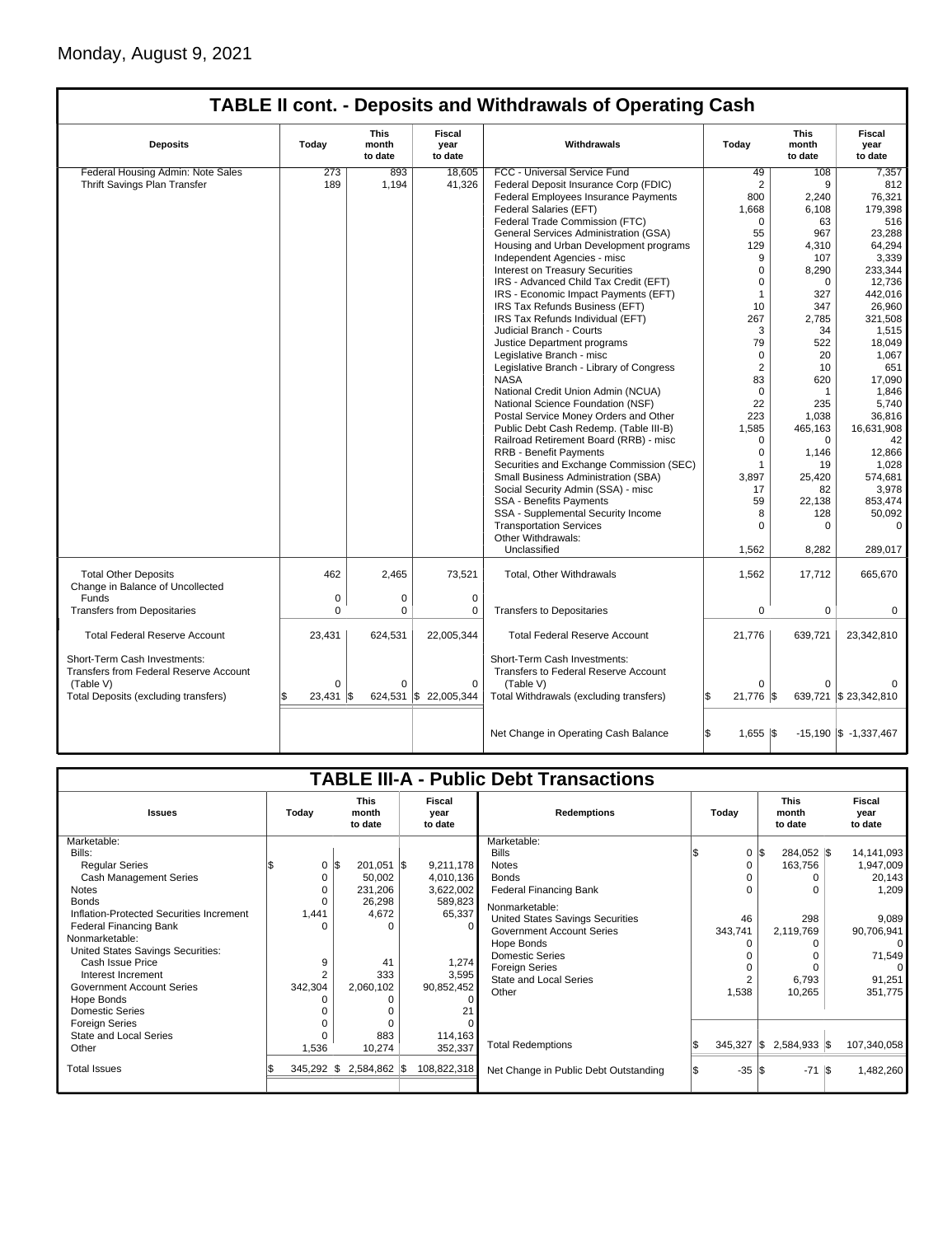## **TABLE II cont. - Deposits and Withdrawals of Operating Cash**

| <b>Deposits</b>                                                               | Today        | This<br>month<br>to date | Fiscal<br>year<br>to date | Withdrawals                                                          | Today                    | This<br>month<br>to date | Fiscal<br>vear<br>to date |
|-------------------------------------------------------------------------------|--------------|--------------------------|---------------------------|----------------------------------------------------------------------|--------------------------|--------------------------|---------------------------|
| Federal Housing Admin: Note Sales                                             | 273          | 893                      | 18.605                    | FCC - Universal Service Fund                                         | 49                       | 108                      | 7,357                     |
| Thrift Savings Plan Transfer                                                  | 189          | 1,194                    | 41,326                    | Federal Deposit Insurance Corp (FDIC)                                | $\overline{2}$           | 9                        | 812                       |
|                                                                               |              |                          |                           | Federal Employees Insurance Payments                                 | 800                      | 2,240                    | 76,321                    |
|                                                                               |              |                          |                           | Federal Salaries (EFT)                                               | 1,668                    | 6,108                    | 179,398                   |
|                                                                               |              |                          |                           | Federal Trade Commission (FTC)                                       | $\Omega$                 | 63                       | 516                       |
|                                                                               |              |                          |                           | General Services Administration (GSA)                                | 55                       | 967                      | 23,288                    |
|                                                                               |              |                          |                           | Housing and Urban Development programs                               | 129                      | 4,310                    | 64,294                    |
|                                                                               |              |                          |                           | Independent Agencies - misc                                          | 9                        | 107                      | 3,339                     |
|                                                                               |              |                          |                           | Interest on Treasury Securities                                      | $\Omega$                 | 8,290                    | 233,344                   |
|                                                                               |              |                          |                           | IRS - Advanced Child Tax Credit (EFT)                                | $\Omega$                 | 0                        | 12.736                    |
|                                                                               |              |                          |                           | IRS - Economic Impact Payments (EFT)                                 | $\overline{1}$           | 327                      | 442,016                   |
|                                                                               |              |                          |                           | IRS Tax Refunds Business (EFT)                                       | 10                       | 347                      | 26,960                    |
|                                                                               |              |                          |                           | IRS Tax Refunds Individual (EFT)                                     | 267                      | 2,785                    | 321,508                   |
|                                                                               |              |                          |                           | Judicial Branch - Courts                                             | 3                        | 34                       | 1,515                     |
|                                                                               |              |                          |                           | Justice Department programs                                          | 79                       | 522                      | 18,049                    |
|                                                                               |              |                          |                           | Legislative Branch - misc                                            | $\Omega$                 | 20                       | 1,067                     |
|                                                                               |              |                          |                           | Legislative Branch - Library of Congress                             | $\overline{2}$           | 10                       | 651                       |
|                                                                               |              |                          |                           | <b>NASA</b>                                                          | 83                       | 620                      | 17,090                    |
|                                                                               |              |                          |                           | National Credit Union Admin (NCUA)                                   | $\Omega$                 | $\mathbf{1}$             | 1.846                     |
|                                                                               |              |                          |                           | National Science Foundation (NSF)                                    | 22                       | 235                      | 5,740                     |
|                                                                               |              |                          |                           | Postal Service Money Orders and Other                                | 223                      | 1,038                    | 36,816                    |
|                                                                               |              |                          |                           | Public Debt Cash Redemp. (Table III-B)                               | 1,585                    | 465,163                  | 16,631,908                |
|                                                                               |              |                          |                           | Railroad Retirement Board (RRB) - misc                               | 0                        | $\mathbf 0$              | 42                        |
|                                                                               |              |                          |                           | <b>RRB - Benefit Payments</b>                                        | $\Omega$                 | 1.146                    | 12,866                    |
|                                                                               |              |                          |                           | Securities and Exchange Commission (SEC)                             | 1                        | 19                       | 1,028                     |
|                                                                               |              |                          |                           | Small Business Administration (SBA)                                  | 3,897                    | 25,420                   | 574,681                   |
|                                                                               |              |                          |                           | Social Security Admin (SSA) - misc                                   | 17                       | 82                       | 3,978                     |
|                                                                               |              |                          |                           | <b>SSA - Benefits Payments</b>                                       | 59                       | 22,138                   | 853,474                   |
|                                                                               |              |                          |                           | SSA - Supplemental Security Income                                   | 8                        |                          | 50,092                    |
|                                                                               |              |                          |                           | <b>Transportation Services</b>                                       | $\Omega$                 | 128<br>0                 | $\Omega$                  |
|                                                                               |              |                          |                           | Other Withdrawals:                                                   |                          |                          |                           |
|                                                                               |              |                          |                           | Unclassified                                                         |                          |                          |                           |
|                                                                               |              |                          |                           |                                                                      | 1,562                    | 8,282                    | 289,017                   |
| <b>Total Other Deposits</b><br>Change in Balance of Uncollected               | 462          | 2.465                    | 73,521                    | Total, Other Withdrawals                                             | 1,562                    | 17,712                   | 665,670                   |
| Funds                                                                         | 0            | 0                        | $\mathbf 0$               |                                                                      |                          |                          |                           |
| <b>Transfers from Depositaries</b>                                            | $\mathbf 0$  | $\mathbf 0$              | 0                         | <b>Transfers to Depositaries</b>                                     | 0                        | 0                        | 0                         |
| <b>Total Federal Reserve Account</b>                                          | 23,431       | 624,531                  | 22,005,344                | <b>Total Federal Reserve Account</b>                                 | 21,776                   | 639,721                  | 23,342,810                |
| Short-Term Cash Investments:<br><b>Transfers from Federal Reserve Account</b> |              |                          |                           | Short-Term Cash Investments:<br>Transfers to Federal Reserve Account |                          |                          |                           |
| (Table V)                                                                     | $\mathbf 0$  | 0                        | $\mathbf 0$               | (Table V)                                                            | 0                        | 0                        |                           |
| Total Deposits (excluding transfers)                                          | £.<br>23,431 | 624,531<br>- IS          | $\frac{1}{2}$ 22,005,344  | Total Withdrawals (excluding transfers)                              | 21,776<br>ß.             | I\$                      | 639,721 \$23,342,810      |
|                                                                               |              |                          |                           | Net Change in Operating Cash Balance                                 | Ŝ.<br>$1,655$ $\sqrt{3}$ |                          | $-15,190$ \$ $-1,337,467$ |

|                                          |       |              |     |                                 |                           |             | <b>TABLE III-A - Public Debt Transactions</b> |       |              |     |              |                                 |             |  |                           |
|------------------------------------------|-------|--------------|-----|---------------------------------|---------------------------|-------------|-----------------------------------------------|-------|--------------|-----|--------------|---------------------------------|-------------|--|---------------------------|
| <b>Issues</b>                            | Today |              |     | <b>This</b><br>month<br>to date | Fiscal<br>year<br>to date |             | <b>Redemptions</b>                            | Todav |              |     |              | <b>This</b><br>month<br>to date |             |  | Fiscal<br>year<br>to date |
| Marketable:                              |       |              |     |                                 |                           |             | Marketable:                                   |       |              |     |              |                                 |             |  |                           |
| Bills:                                   |       |              |     |                                 |                           |             | <b>Bills</b>                                  |       | 0            | l\$ | 284,052 \$   |                                 | 14,141,093  |  |                           |
| <b>Regular Series</b>                    |       | 0            | l\$ | 201,051 \$                      |                           | 9,211,178   | <b>Notes</b>                                  |       |              |     | 163,756      |                                 | 1,947,009   |  |                           |
| <b>Cash Management Series</b>            |       | 0            |     | 50,002                          |                           | 4,010,136   | <b>Bonds</b>                                  |       |              |     | 0            |                                 | 20,143      |  |                           |
| <b>Notes</b>                             |       | U            |     | 231,206                         |                           | 3,622,002   | <b>Federal Financing Bank</b>                 |       |              |     | O            |                                 | 1,209       |  |                           |
| <b>Bonds</b>                             |       | ŋ            |     | 26,298                          |                           | 589,823     | Nonmarketable:                                |       |              |     |              |                                 |             |  |                           |
| Inflation-Protected Securities Increment |       | 1,441        |     | 4,672                           |                           | 65,337      | United States Savings Securities              |       | 46           |     | 298          |                                 | 9,089       |  |                           |
| <b>Federal Financing Bank</b>            |       | n            |     | $\Omega$                        |                           | $\Omega$    | <b>Government Account Series</b>              |       | 343,741      |     | 2,119,769    |                                 | 90,706,941  |  |                           |
| Nonmarketable:                           |       |              |     |                                 |                           |             | Hope Bonds                                    |       |              |     |              |                                 | $\Omega$    |  |                           |
| United States Savings Securities:        |       |              |     |                                 |                           |             | <b>Domestic Series</b>                        |       |              |     |              |                                 | 71,549      |  |                           |
| Cash Issue Price                         |       | 9            |     | 41                              |                           | 1,274       | <b>Foreign Series</b>                         |       |              |     |              |                                 | $\Omega$    |  |                           |
| Interest Increment                       |       | 2            |     | 333                             |                           | 3,595       | <b>State and Local Series</b>                 |       |              |     | 6,793        |                                 | 91,251      |  |                           |
| <b>Government Account Series</b>         |       | 342,304      |     | 2,060,102                       |                           | 90,852,452  | Other                                         |       | 1,538        |     | 10,265       |                                 | 351,775     |  |                           |
| Hope Bonds                               |       | ŋ            |     | O                               |                           |             |                                               |       |              |     |              |                                 |             |  |                           |
| <b>Domestic Series</b>                   |       |              |     |                                 |                           |             |                                               |       |              |     |              |                                 |             |  |                           |
| <b>Foreign Series</b>                    |       |              |     | $\Omega$                        |                           |             |                                               |       |              |     |              |                                 |             |  |                           |
| State and Local Series                   |       |              |     | 883                             |                           | 114,163     |                                               |       |              |     |              |                                 |             |  |                           |
| Other                                    |       | 1,536        |     | 10,274                          |                           | 352,337     | <b>Total Redemptions</b>                      |       | $345,327$ \$ |     | 2,584,933 \$ |                                 | 107,340,058 |  |                           |
| <b>Total Issues</b>                      |       | $345,292$ \$ |     | 2,584,862 \$                    |                           | 108,822,318 | Net Change in Public Debt Outstanding         |       | $-35$ \$     |     | $-71$        | - 1\$                           | 1,482,260   |  |                           |
|                                          |       |              |     |                                 |                           |             |                                               |       |              |     |              |                                 |             |  |                           |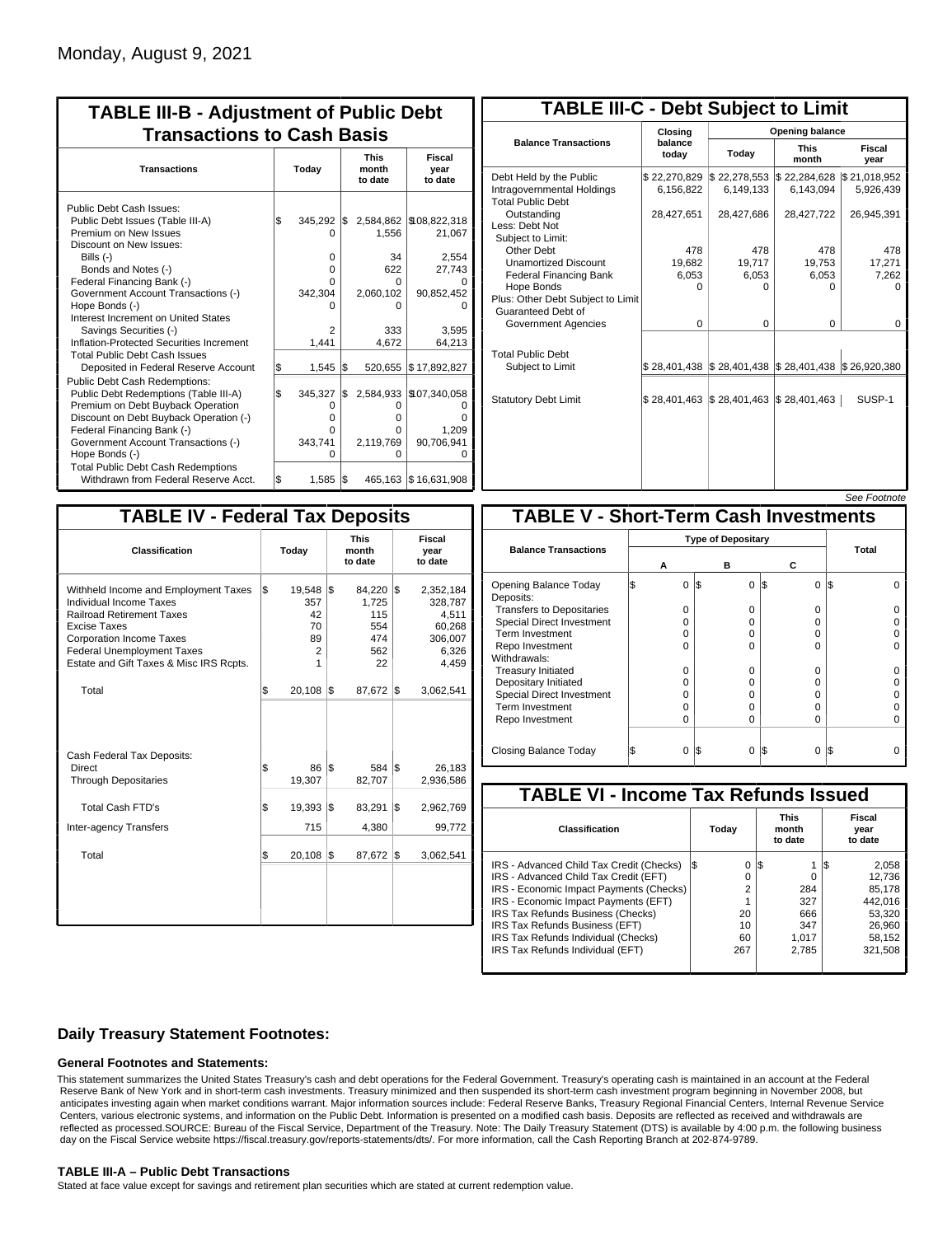|           |                                                                  |       | <b>Transactions to Cash Basis</b>                                      |                                                                             |  |                           |
|-----------|------------------------------------------------------------------|-------|------------------------------------------------------------------------|-----------------------------------------------------------------------------|--|---------------------------|
| Today     |                                                                  |       |                                                                        | <b>This</b><br>month<br>to date                                             |  | Fiscal<br>year<br>to date |
| l\$       | 345.292<br>O<br>0<br>$\Omega$<br>U<br>342,304<br>n<br>2<br>1.441 |       | 2,584,862<br>1.556<br>34<br>622<br>O<br>2,060,102<br>n<br>333<br>4.672 | \$108,822,318<br>21,067<br>2,554<br>27,743<br>90,852,452<br>3,595<br>64,213 |  |                           |
| \$<br>l\$ | 1,545<br>345,327<br>0<br>$\Omega$<br>0<br>343,741<br>O           |       | 520,655<br>2,584,933<br>0<br>o<br>0<br>2,119,769<br>0                  | \$17,892,827<br>\$107,340,058<br>ŋ<br>1,209<br>90,706,941<br>O              |  |                           |
|           | l\$                                                              | 1,585 | l\$<br>1\$<br>I\$<br>I\$                                               | 465,163 \$16,631,908                                                        |  |                           |

| <b>TABLE III-C - Debt Subject to Limit</b>                                        |                             |                                                                                                     |                           |                           |  |  |  |  |  |  |
|-----------------------------------------------------------------------------------|-----------------------------|-----------------------------------------------------------------------------------------------------|---------------------------|---------------------------|--|--|--|--|--|--|
|                                                                                   | Closing                     | Opening balance                                                                                     |                           |                           |  |  |  |  |  |  |
| <b>Balance Transactions</b>                                                       | balance<br>todav            | Today                                                                                               | <b>This</b><br>month      | Fiscal<br>year            |  |  |  |  |  |  |
| Debt Held by the Public<br>Intragovernmental Holdings<br><b>Total Public Debt</b> | \$22,270,829<br>6,156,822   | $\$22,278,553$<br>6.149.133                                                                         | \$22,284,628<br>6.143.094 | \$21,018,952<br>5,926,439 |  |  |  |  |  |  |
| Outstanding<br>Less: Debt Not<br>Subject to Limit:                                | 28,427,651                  | 28,427,686                                                                                          | 28,427,722                | 26,945,391                |  |  |  |  |  |  |
| Other Debt                                                                        | 478                         | 478                                                                                                 | 478                       | 478                       |  |  |  |  |  |  |
| <b>Unamortized Discount</b>                                                       | 19,682                      | 19,717                                                                                              | 19,753                    | 17,271                    |  |  |  |  |  |  |
| <b>Federal Financing Bank</b>                                                     | 6,053                       | 6,053                                                                                               | 6,053                     | 7,262                     |  |  |  |  |  |  |
| Hope Bonds<br>Plus: Other Debt Subject to Limit<br>Guaranteed Debt of             | 0                           | 0                                                                                                   | 0                         | o                         |  |  |  |  |  |  |
| Government Agencies                                                               | $\Omega$                    | $\Omega$                                                                                            | $\Omega$                  | 0                         |  |  |  |  |  |  |
| <b>Total Public Debt</b><br>Subject to Limit                                      |                             | $\frac{1}{2}$ 28,401,438 $\frac{1}{2}$ 28,401,438 $\frac{1}{2}$ 28,401,438 $\frac{1}{2}$ 26,920,380 |                           |                           |  |  |  |  |  |  |
| <b>Statutory Debt Limit</b>                                                       | $$28,401,463$ $$28,401,463$ |                                                                                                     | $\$\,28,401,463$          | SUSP-1                    |  |  |  |  |  |  |
|                                                                                   |                             |                                                                                                     |                           |                           |  |  |  |  |  |  |

| See Footnote |
|--------------|
|--------------|

| <b>TABLE IV - Federal Tax Deposits</b>                                                                                                                                                                                                               |     |                                              |     |                                                      |     |                                                                      |
|------------------------------------------------------------------------------------------------------------------------------------------------------------------------------------------------------------------------------------------------------|-----|----------------------------------------------|-----|------------------------------------------------------|-----|----------------------------------------------------------------------|
| Classification                                                                                                                                                                                                                                       |     | Today                                        |     | <b>This</b><br>month<br>to date                      |     | Fiscal<br>year<br>to date                                            |
| Withheld Income and Employment Taxes<br><b>Individual Income Taxes</b><br><b>Railroad Retirement Taxes</b><br><b>Excise Taxes</b><br><b>Corporation Income Taxes</b><br><b>Federal Unemployment Taxes</b><br>Estate and Gift Taxes & Misc IRS Rcpts. | l\$ | 19,548 \$<br>357<br>42<br>70<br>89<br>2<br>1 |     | 84,220 \$<br>1,725<br>115<br>554<br>474<br>562<br>22 |     | 2,352,184<br>328,787<br>4,511<br>60,268<br>306,007<br>6,326<br>4,459 |
| Total                                                                                                                                                                                                                                                | l\$ | $20,108$ $\sqrt{5}$                          |     | 87,672                                               | 1\$ | 3,062,541                                                            |
| Cash Federal Tax Deposits:<br>Direct<br><b>Through Depositaries</b>                                                                                                                                                                                  | \$  | 86<br>19,307                                 | l\$ | 584<br>82,707                                        | l\$ | 26,183<br>2,936,586                                                  |
| Total Cash FTD's                                                                                                                                                                                                                                     | Ŝ.  | 19,393                                       | 1\$ | 83,291                                               | 1\$ | 2,962,769                                                            |
| Inter-agency Transfers                                                                                                                                                                                                                               |     | 715                                          |     | 4,380                                                |     | 99,772                                                               |
| Total                                                                                                                                                                                                                                                | l\$ | 20,108                                       | 1\$ | 87,672                                               | 1\$ | 3,062,541                                                            |
|                                                                                                                                                                                                                                                      |     |                                              |     |                                                      |     |                                                                      |

|                                              |   |   |                           |          |                 | JEE LOONIOIE |  |  |  |
|----------------------------------------------|---|---|---------------------------|----------|-----------------|--------------|--|--|--|
| <b>TABLE V - Short-Term Cash Investments</b> |   |   |                           |          |                 |              |  |  |  |
|                                              |   |   | <b>Type of Depositary</b> |          |                 |              |  |  |  |
| <b>Balance Transactions</b>                  | Α |   | в                         |          | С               | Total        |  |  |  |
| Opening Balance Today<br>Deposits:           |   | 0 | 1\$                       | $\Omega$ | I\$<br>$\Omega$ | I\$          |  |  |  |
| <b>Transfers to Depositaries</b>             |   | O |                           | 0        | O               |              |  |  |  |
| <b>Special Direct Investment</b>             |   | O |                           | O        | 0               |              |  |  |  |
| <b>Term Investment</b>                       |   | O |                           | O        | 0               |              |  |  |  |
| Repo Investment                              |   | 0 |                           | 0        | O               |              |  |  |  |
| Withdrawals:                                 |   |   |                           |          |                 |              |  |  |  |
| <b>Treasury Initiated</b>                    |   | 0 |                           | 0        | 0               |              |  |  |  |
| Depositary Initiated                         |   | O |                           | O        | O               |              |  |  |  |
| Special Direct Investment                    |   | Ω |                           | O        | 0               |              |  |  |  |
| <b>Term Investment</b>                       |   | O |                           | O        | 0               |              |  |  |  |
| Repo Investment                              |   | O |                           | O        | O               |              |  |  |  |
|                                              |   |   |                           |          |                 |              |  |  |  |
| Closing Balance Today                        |   | 0 | 1\$                       | $\Omega$ | S<br>$\Omega$   | l\$          |  |  |  |

| <b>TABLE VI - Income Tax Refunds Issued</b> |         |                                 |                           |  |  |  |  |  |  |  |
|---------------------------------------------|---------|---------------------------------|---------------------------|--|--|--|--|--|--|--|
| Classification                              | Today   | <b>This</b><br>month<br>to date | Fiscal<br>year<br>to date |  |  |  |  |  |  |  |
| IRS - Advanced Child Tax Credit (Checks)    | 0<br>13 | l\$                             | 2,058                     |  |  |  |  |  |  |  |
| IRS - Advanced Child Tax Credit (EFT)       | 0       |                                 | 12.736                    |  |  |  |  |  |  |  |
| IRS - Economic Impact Payments (Checks)     | 2       | 284                             | 85.178                    |  |  |  |  |  |  |  |
| IRS - Economic Impact Payments (EFT)        |         | 327                             | 442.016                   |  |  |  |  |  |  |  |
| IRS Tax Refunds Business (Checks)           | 20      | 666                             | 53.320                    |  |  |  |  |  |  |  |
| IRS Tax Refunds Business (EFT)              | 10      | 347                             | 26.960                    |  |  |  |  |  |  |  |
| IRS Tax Refunds Individual (Checks)         | 60      | 1.017                           | 58.152                    |  |  |  |  |  |  |  |
| IRS Tax Refunds Individual (EFT)            | 267     | 2,785                           | 321,508                   |  |  |  |  |  |  |  |

## **Daily Treasury Statement Footnotes:**

### **General Footnotes and Statements:**

This statement summarizes the United States Treasury's cash and debt operations for the Federal Government. Treasury's operating cash is maintained in an account at the Federal Reserve Bank of New York and in short-term cash investments. Treasury minimized and then suspended its short-term cash investment program beginning in November 2008, but anticipates investing again when market conditions warrant. Major information sources include: Federal Reserve Banks, Treasury Regional Financial Centers, Internal Revenue Service Centers, various electronic systems, and information on the Public Debt. Information is presented on a modified cash basis. Deposits are reflected as received and withdrawals are reflected as processed.SOURCE: Bureau of the Fiscal Service, Department of the Treasury. Note: The Daily Treasury Statement (DTS) is available by 4:00 p.m. the following business day on the Fiscal Service website https://fiscal.treasury.gov/reports-statements/dts/. For more information, call the Cash Reporting Branch at 202-874-9789.

### **TABLE III-A – Public Debt Transactions**

Stated at face value except for savings and retirement plan securities which are stated at current redemption value.